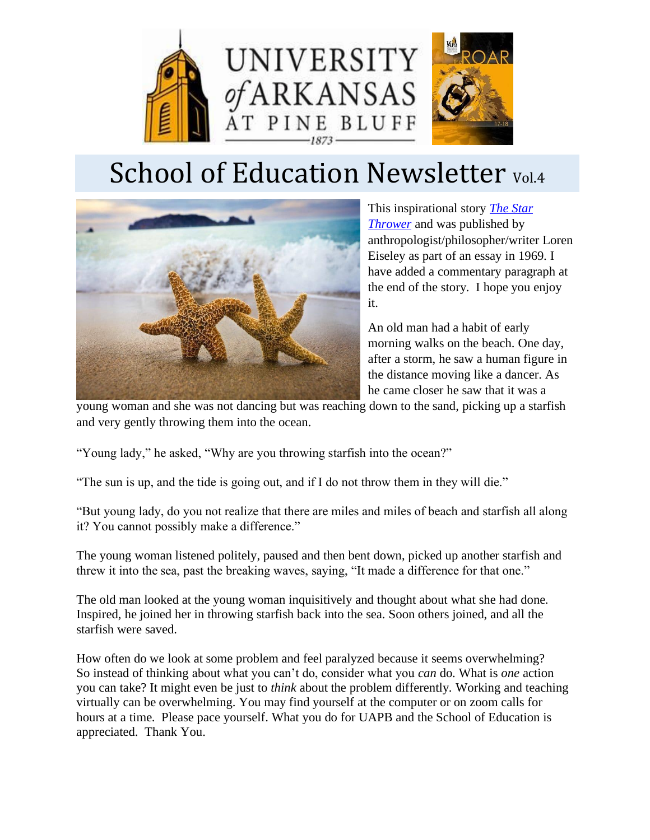

# School of Education Newsletter Vol.4



This inspirational story *[The Star](https://www.amazon.com/dp/0156849097/ref=as_li_tf_til?tag=thezafrep-20&camp=0&creative=0&linkCode=as1&creativeASIN=0156849097&adid=0RJ6RV7E9RJFFR55244P&)  [Thrower](https://www.amazon.com/dp/0156849097/ref=as_li_tf_til?tag=thezafrep-20&camp=0&creative=0&linkCode=as1&creativeASIN=0156849097&adid=0RJ6RV7E9RJFFR55244P&)* and was published by anthropologist/philosopher/writer Loren Eiseley as part of an essay in 1969. I have added a commentary paragraph at the end of the story. I hope you enjoy it.

An old man had a habit of early morning walks on the beach. One day, after a storm, he saw a human figure in the distance moving like a dancer. As he came closer he saw that it was a

young woman and she was not dancing but was reaching down to the sand, picking up a starfish and very gently throwing them into the ocean.

"Young lady," he asked, "Why are you throwing starfish into the ocean?"

"The sun is up, and the tide is going out, and if I do not throw them in they will die."

"But young lady, do you not realize that there are miles and miles of beach and starfish all along it? You cannot possibly make a difference."

The young woman listened politely, paused and then bent down, picked up another starfish and threw it into the sea, past the breaking waves, saying, "It made a difference for that one."

The old man looked at the young woman inquisitively and thought about what she had done. Inspired, he joined her in throwing starfish back into the sea. Soon others joined, and all the starfish were saved.

How often do we look at some problem and feel paralyzed because it seems overwhelming? So instead of thinking about what you can't do, consider what you *can* do. What is *one* action you can take? It might even be just to *think* about the problem differently. Working and teaching virtually can be overwhelming. You may find yourself at the computer or on zoom calls for hours at a time. Please pace yourself. What you do for UAPB and the School of Education is appreciated. Thank You.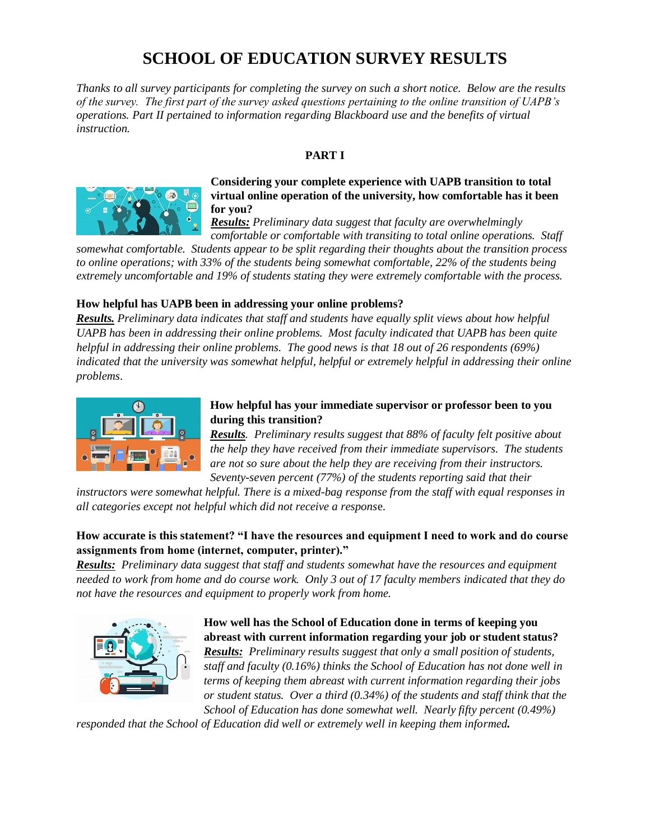# **SCHOOL OF EDUCATION SURVEY RESULTS**

*Thanks to all survey participants for completing the survey on such a short notice. Below are the results of the survey. The first part of the survey asked questions pertaining to the online transition of UAPB's operations. Part II pertained to information regarding Blackboard use and the benefits of virtual instruction.*

#### **PART I**



#### **Considering your complete experience with UAPB transition to total virtual online operation of the university, how comfortable has it been for you?**

*Results: Preliminary data suggest that faculty are overwhelmingly comfortable or comfortable with transiting to total online operations. Staff* 

*somewhat comfortable. Students appear to be split regarding their thoughts about the transition process to online operations; with 33% of the students being somewhat comfortable, 22% of the students being extremely uncomfortable and 19% of students stating they were extremely comfortable with the process.*

#### **How helpful has UAPB been in addressing your online problems?**

*Results. Preliminary data indicates that staff and students have equally split views about how helpful UAPB has been in addressing their online problems. Most faculty indicated that UAPB has been quite helpful in addressing their online problems. The good news is that 18 out of 26 respondents (69%) indicated that the university was somewhat helpful, helpful or extremely helpful in addressing their online problems*.



#### **How helpful has your immediate supervisor or professor been to you during this transition?**

*Results. Preliminary results suggest that 88% of faculty felt positive about the help they have received from their immediate supervisors. The students are not so sure about the help they are receiving from their instructors. Seventy-seven percent (77%) of the students reporting said that their* 

*instructors were somewhat helpful. There is a mixed-bag response from the staff with equal responses in all categories except not helpful which did not receive a respons*e.

#### **How accurate is this statement? "I have the resources and equipment I need to work and do course assignments from home (internet, computer, printer)."**

*Results: Preliminary data suggest that staff and students somewhat have the resources and equipment needed to work from home and do course work. Only 3 out of 17 faculty members indicated that they do not have the resources and equipment to properly work from home.*



## **How well has the School of Education done in terms of keeping you abreast with current information regarding your job or student status?** *Results: Preliminary results suggest that only a small position of students,*

*staff and faculty (0.16%) thinks the School of Education has not done well in terms of keeping them abreast with current information regarding their jobs or student status. Over a third (0.34%) of the students and staff think that the School of Education has done somewhat well. Nearly fifty percent (0.49%)* 

*responded that the School of Education did well or extremely well in keeping them informed.*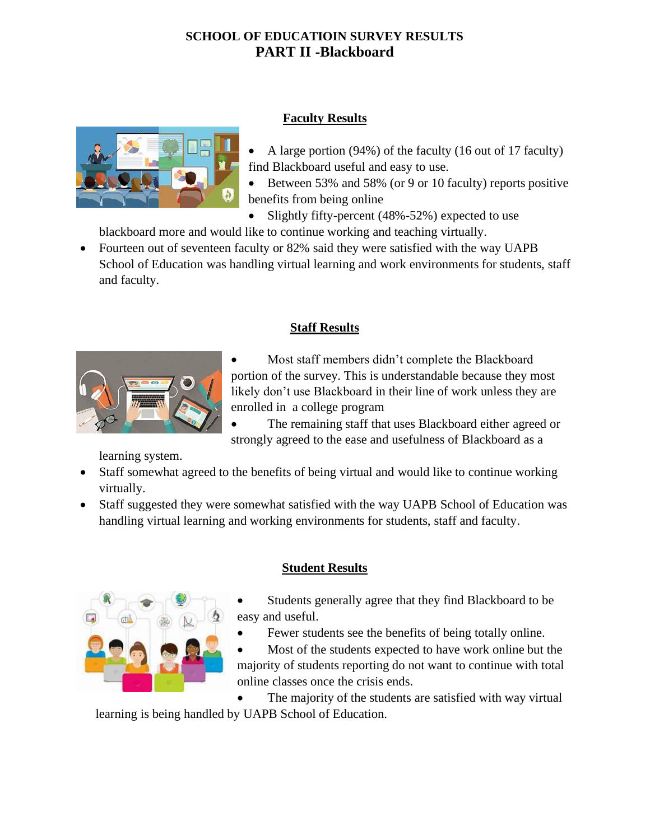# **SCHOOL OF EDUCATIOIN SURVEY RESULTS PART II -Blackboard**



#### **Faculty Results**

- A large portion (94%) of the faculty (16 out of 17 faculty) find Blackboard useful and easy to use.
- Between 53% and 58% (or 9 or 10 faculty) reports positive benefits from being online
- Slightly fifty-percent (48%-52%) expected to use

blackboard more and would like to continue working and teaching virtually.

• Fourteen out of seventeen faculty or 82% said they were satisfied with the way UAPB School of Education was handling virtual learning and work environments for students, staff and faculty.



## **Staff Results**

Most staff members didn't complete the Blackboard portion of the survey. This is understandable because they most likely don't use Blackboard in their line of work unless they are enrolled in a college program

The remaining staff that uses Blackboard either agreed or strongly agreed to the ease and usefulness of Blackboard as a

learning system.

- Staff somewhat agreed to the benefits of being virtual and would like to continue working virtually.
- Staff suggested they were somewhat satisfied with the way UAPB School of Education was handling virtual learning and working environments for students, staff and faculty.



# **Student Results**

- Students generally agree that they find Blackboard to be easy and useful.
- Fewer students see the benefits of being totally online.
- Most of the students expected to have work online but the majority of students reporting do not want to continue with total online classes once the crisis ends.

• The majority of the students are satisfied with way virtual learning is being handled by UAPB School of Education.